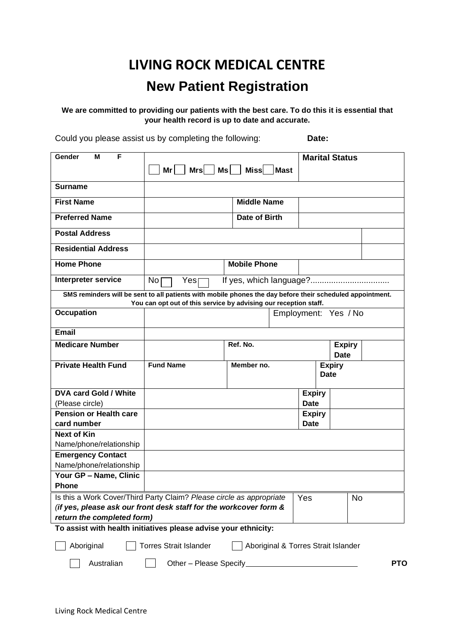# **LIVING ROCK MEDICAL CENTRE New Patient Registration**

**We are committed to providing our patients with the best care. To do this it is essential that your health record is up to date and accurate.**

Could you please assist us by completing the following: **Date:**

| Gender<br>F<br>м                                                     |                                                                                                           |                     |      |               | <b>Marital Status</b>               |  |
|----------------------------------------------------------------------|-----------------------------------------------------------------------------------------------------------|---------------------|------|---------------|-------------------------------------|--|
|                                                                      | $Mrs$   Ms    <br>$Mr$                                                                                    | Miss                | Mast |               |                                     |  |
|                                                                      |                                                                                                           |                     |      |               |                                     |  |
| <b>Surname</b>                                                       |                                                                                                           |                     |      |               |                                     |  |
| <b>First Name</b>                                                    |                                                                                                           | <b>Middle Name</b>  |      |               |                                     |  |
| <b>Preferred Name</b>                                                |                                                                                                           | Date of Birth       |      |               |                                     |  |
| <b>Postal Address</b>                                                |                                                                                                           |                     |      |               |                                     |  |
|                                                                      |                                                                                                           |                     |      |               |                                     |  |
| <b>Residential Address</b>                                           |                                                                                                           |                     |      |               |                                     |  |
| <b>Home Phone</b>                                                    |                                                                                                           | <b>Mobile Phone</b> |      |               |                                     |  |
| <b>Interpreter service</b>                                           | No<br>Yes                                                                                                 |                     |      |               |                                     |  |
|                                                                      | SMS reminders will be sent to all patients with mobile phones the day before their scheduled appointment. |                     |      |               |                                     |  |
|                                                                      | You can opt out of this service by advising our reception staff.                                          |                     |      |               |                                     |  |
| <b>Occupation</b>                                                    |                                                                                                           |                     |      |               | Employment: Yes / No                |  |
| <b>Email</b>                                                         |                                                                                                           |                     |      |               |                                     |  |
| <b>Medicare Number</b>                                               |                                                                                                           | Ref. No.            |      |               |                                     |  |
|                                                                      |                                                                                                           |                     |      |               | <b>Expiry</b><br><b>Date</b>        |  |
|                                                                      |                                                                                                           | Member no.          |      |               |                                     |  |
|                                                                      |                                                                                                           |                     |      |               |                                     |  |
| <b>Private Health Fund</b>                                           | <b>Fund Name</b>                                                                                          |                     |      |               | <b>Expiry</b><br><b>Date</b>        |  |
|                                                                      |                                                                                                           |                     |      |               |                                     |  |
| <b>DVA card Gold / White</b>                                         |                                                                                                           |                     |      | <b>Expiry</b> |                                     |  |
| (Please circle)                                                      |                                                                                                           |                     |      | <b>Date</b>   |                                     |  |
| <b>Pension or Health care</b>                                        |                                                                                                           |                     |      | <b>Expiry</b> |                                     |  |
| card number                                                          |                                                                                                           |                     |      | <b>Date</b>   |                                     |  |
| <b>Next of Kin</b>                                                   |                                                                                                           |                     |      |               |                                     |  |
| Name/phone/relationship                                              |                                                                                                           |                     |      |               |                                     |  |
| <b>Emergency Contact</b>                                             |                                                                                                           |                     |      |               |                                     |  |
| Name/phone/relationship                                              |                                                                                                           |                     |      |               |                                     |  |
| Your GP - Name, Clinic                                               |                                                                                                           |                     |      |               |                                     |  |
| <b>Phone</b>                                                         |                                                                                                           |                     |      |               |                                     |  |
|                                                                      |                                                                                                           |                     |      |               |                                     |  |
| Is this a Work Cover/Third Party Claim? Please circle as appropriate |                                                                                                           |                     |      | Yes           | No                                  |  |
| (if yes, please ask our front desk staff for the workcover form &    |                                                                                                           |                     |      |               |                                     |  |
| return the completed form)                                           |                                                                                                           |                     |      |               |                                     |  |
| To assist with health initiatives please advise your ethnicity:      |                                                                                                           |                     |      |               |                                     |  |
| Aboriginal                                                           | <b>Torres Strait Islander</b>                                                                             |                     |      |               | Aboriginal & Torres Strait Islander |  |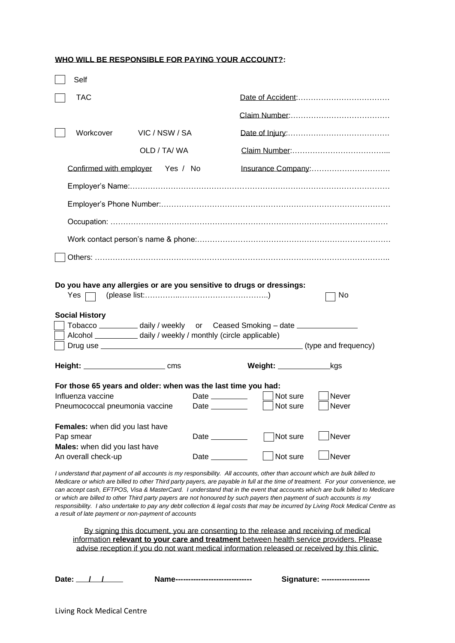#### **WHO WILL BE RESPONSIBLE FOR PAYING YOUR ACCOUNT?:**

| Self                                                                                                                 |                |                                                                                                                                                     |                                                                                                                                                      |                       |
|----------------------------------------------------------------------------------------------------------------------|----------------|-----------------------------------------------------------------------------------------------------------------------------------------------------|------------------------------------------------------------------------------------------------------------------------------------------------------|-----------------------|
| <b>TAC</b>                                                                                                           |                |                                                                                                                                                     |                                                                                                                                                      |                       |
|                                                                                                                      |                |                                                                                                                                                     |                                                                                                                                                      |                       |
| Workcover                                                                                                            | VIC / NSW / SA |                                                                                                                                                     |                                                                                                                                                      |                       |
|                                                                                                                      | OLD / TA/WA    |                                                                                                                                                     |                                                                                                                                                      |                       |
| Confirmed with employer Yes / No                                                                                     |                |                                                                                                                                                     |                                                                                                                                                      | Insurance Company:    |
|                                                                                                                      |                |                                                                                                                                                     |                                                                                                                                                      |                       |
|                                                                                                                      |                |                                                                                                                                                     |                                                                                                                                                      |                       |
|                                                                                                                      |                |                                                                                                                                                     |                                                                                                                                                      |                       |
|                                                                                                                      |                |                                                                                                                                                     |                                                                                                                                                      |                       |
|                                                                                                                      |                |                                                                                                                                                     |                                                                                                                                                      |                       |
| Yes 「<br><b>Social History</b><br>Alcohol ______________ daily / weekly / monthly (circle applicable)                |                |                                                                                                                                                     | Do you have any allergies or are you sensitive to drugs or dressings:<br>Tobacco ___________ daily / weekly or Ceased Smoking - date _______________ | No.                   |
| Drug use                                                                                                             |                |                                                                                                                                                     |                                                                                                                                                      | (type and frequency)  |
|                                                                                                                      |                |                                                                                                                                                     | Weight: ________________kgs                                                                                                                          |                       |
| For those 65 years and older: when was the last time you had:<br>Influenza vaccine<br>Pneumococcal pneumonia vaccine |                | Date $\_\_\_\_\_\_\_\_\_\_\_\_\_$<br>Date and the set of the set of the set of the set of the set of the set of the set of the set of the set of th | Not sure<br>Not sure                                                                                                                                 | Never<br>Never        |
| Females: when did you last have<br>Pap smear<br>Males: when did you last have<br>An overall check-up                 |                | <b>Date Date</b><br>Date <b>Date</b>                                                                                                                | Not sure<br>Not sure                                                                                                                                 | <b>Never</b><br>Never |

*I understand that payment of all accounts is my responsibility. All accounts, other than account which are bulk billed to Medicare or which are billed to other Third party payers, are payable in full at the time of treatment. For your convenience, we can accept cash, EFTPOS, Visa & MasterCard. I understand that in the event that accounts which are bulk billed to Medicare or which are billed to other Third party payers are not honoured by such payers then payment of such accounts is my responsibility. I also undertake to pay any debt collection & legal costs that may be incurred by Living Rock Medical Centre as a result of late payment or non-payment of accounts*

By signing this document, you are consenting to the release and receiving of medical information **relevant to your care and treatment** between health service providers. Please advise reception if you do not want medical information released or received by this clinic.

**Date: / / Name------------------------------ Signature: -------------------**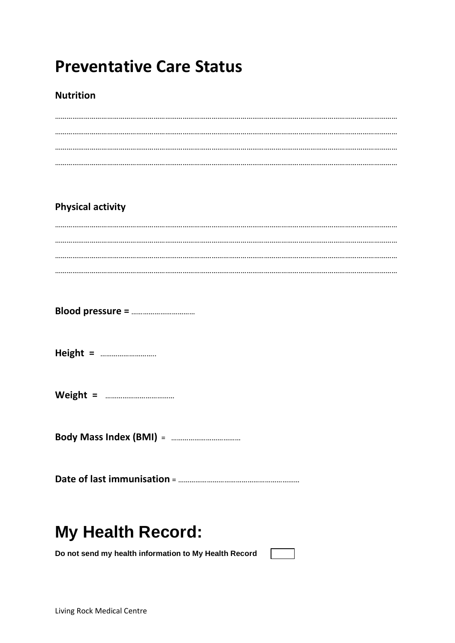# **Preventative Care Status**

### **Nutrition**

## **Physical activity**

# **My Health Record:**

Do not send my health information to My Health Record